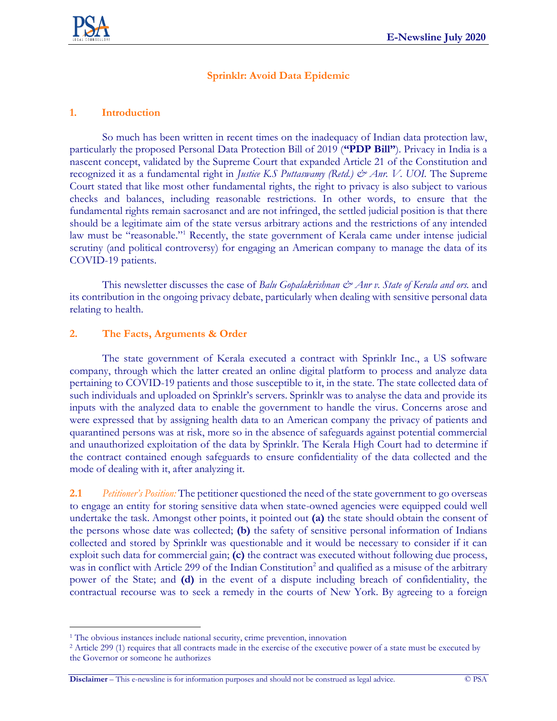

## **Sprinklr: Avoid Data Epidemic**

### **1. Introduction**

So much has been written in recent times on the inadequacy of Indian data protection law, particularly the proposed Personal Data Protection Bill of 2019 (**"PDP Bill"**). Privacy in India is a nascent concept, validated by the Supreme Court that expanded Article 21 of the Constitution and recognized it as a fundamental right in *Justice K.S Puttaswamy (Retd.) & Anr. V. UOI.* The Supreme Court stated that like most other fundamental rights, the right to privacy is also subject to various checks and balances, including reasonable restrictions. In other words, to ensure that the fundamental rights remain sacrosanct and are not infringed, the settled judicial position is that there should be a legitimate aim of the state versus arbitrary actions and the restrictions of any intended law must be "reasonable."<sup>1</sup> Recently, the state government of Kerala came under intense judicial scrutiny (and political controversy) for engaging an American company to manage the data of its COVID-19 patients.

This newsletter discusses the case of *Balu Gopalakrishnan & Anr v. State of Kerala and ors.* and its contribution in the ongoing privacy debate, particularly when dealing with sensitive personal data relating to health.

## **2. The Facts, Arguments & Order**

The state government of Kerala executed a contract with Sprinklr Inc., a US software company, through which the latter created an online digital platform to process and analyze data pertaining to COVID-19 patients and those susceptible to it, in the state. The state collected data of such individuals and uploaded on Sprinklr's servers. Sprinklr was to analyse the data and provide its inputs with the analyzed data to enable the government to handle the virus. Concerns arose and were expressed that by assigning health data to an American company the privacy of patients and quarantined persons was at risk, more so in the absence of safeguards against potential commercial and unauthorized exploitation of the data by Sprinklr. The Kerala High Court had to determine if the contract contained enough safeguards to ensure confidentiality of the data collected and the mode of dealing with it, after analyzing it.

**2.1** *Petitioner's Position:* The petitioner questioned the need of the state government to go overseas to engage an entity for storing sensitive data when state-owned agencies were equipped could well undertake the task. Amongst other points, it pointed out **(a)** the state should obtain the consent of the persons whose date was collected; **(b)** the safety of sensitive personal information of Indians collected and stored by Sprinklr was questionable and it would be necessary to consider if it can exploit such data for commercial gain; **(c)** the contract was executed without following due process, was in conflict with Article 299 of the Indian Constitution<sup>2</sup> and qualified as a misuse of the arbitrary power of the State; and **(d)** in the event of a dispute including breach of confidentiality, the contractual recourse was to seek a remedy in the courts of New York. By agreeing to a foreign

<sup>&</sup>lt;sup>1</sup> The obvious instances include national security, crime prevention, innovation

<sup>&</sup>lt;sup>2</sup> Article 299 (1) requires that all contracts made in the exercise of the executive power of a state must be executed by the Governor or someone he authorizes

**Disclaimer** – This e-newsline is for information purposes and should not be construed as legal advice. © PSA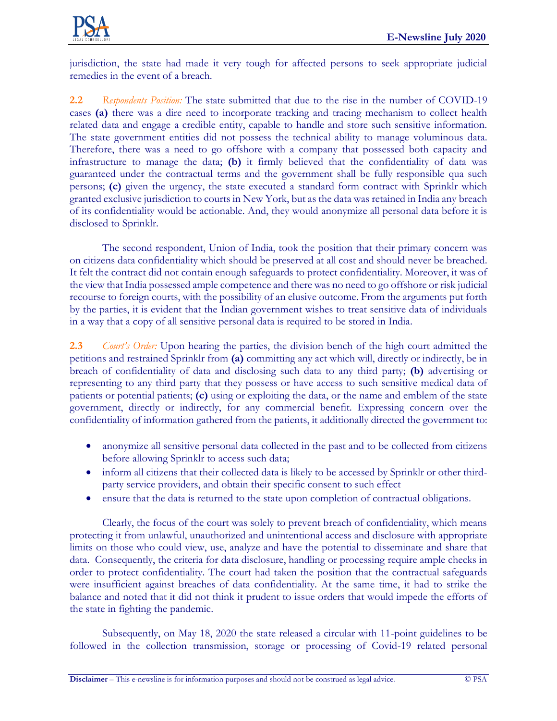

jurisdiction, the state had made it very tough for affected persons to seek appropriate judicial remedies in the event of a breach.

**2.2** *Respondents Position:* The state submitted that due to the rise in the number of COVID-19 cases **(a)** there was a dire need to incorporate tracking and tracing mechanism to collect health related data and engage a credible entity, capable to handle and store such sensitive information. The state government entities did not possess the technical ability to manage voluminous data. Therefore, there was a need to go offshore with a company that possessed both capacity and infrastructure to manage the data; **(b)** it firmly believed that the confidentiality of data was guaranteed under the contractual terms and the government shall be fully responsible qua such persons; **(c)** given the urgency, the state executed a standard form contract with Sprinklr which granted exclusive jurisdiction to courts in New York, but as the data was retained in India any breach of its confidentiality would be actionable. And, they would anonymize all personal data before it is disclosed to Sprinklr.

The second respondent, Union of India, took the position that their primary concern was on citizens data confidentiality which should be preserved at all cost and should never be breached. It felt the contract did not contain enough safeguards to protect confidentiality. Moreover, it was of the view that India possessed ample competence and there was no need to go offshore or risk judicial recourse to foreign courts, with the possibility of an elusive outcome. From the arguments put forth by the parties, it is evident that the Indian government wishes to treat sensitive data of individuals in a way that a copy of all sensitive personal data is required to be stored in India.

**2.3** *Court's Order:* Upon hearing the parties, the division bench of the high court admitted the petitions and restrained Sprinklr from **(a)** committing any act which will, directly or indirectly, be in breach of confidentiality of data and disclosing such data to any third party; **(b)** advertising or representing to any third party that they possess or have access to such sensitive medical data of patients or potential patients; **(c)** using or exploiting the data, or the name and emblem of the state government, directly or indirectly, for any commercial benefit. Expressing concern over the confidentiality of information gathered from the patients, it additionally directed the government to:

- anonymize all sensitive personal data collected in the past and to be collected from citizens before allowing Sprinklr to access such data;
- inform all citizens that their collected data is likely to be accessed by Sprinklr or other thirdparty service providers, and obtain their specific consent to such effect
- ensure that the data is returned to the state upon completion of contractual obligations.

Clearly, the focus of the court was solely to prevent breach of confidentiality, which means protecting it from unlawful, unauthorized and unintentional access and disclosure with appropriate limits on those who could view, use, analyze and have the potential to disseminate and share that data. Consequently, the criteria for data disclosure, handling or processing require ample checks in order to protect confidentiality. The court had taken the position that the contractual safeguards were insufficient against breaches of data confidentiality. At the same time, it had to strike the balance and noted that it did not think it prudent to issue orders that would impede the efforts of the state in fighting the pandemic.

Subsequently, on May 18, 2020 the state released a circular with 11-point guidelines to be followed in the collection transmission, storage or processing of Covid-19 related personal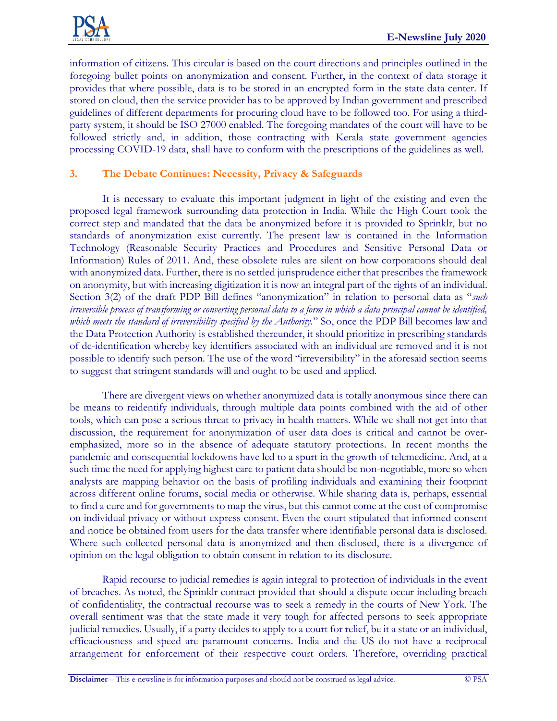

information of citizens. This circular is based on the court directions and principles outlined in the foregoing bullet points on anonymization and consent. Further, in the context of data storage it provides that where possible, data is to be stored in an encrypted form in the state data center. If stored on cloud, then the service provider has to be approved by Indian government and prescribed guidelines of different departments for procuring cloud have to be followed too. For using a thirdparty system, it should be ISO 27000 enabled. The foregoing mandates of the court will have to be followed strictly and, in addition, those contracting with Kerala state government agencies processing COVID-19 data, shall have to conform with the prescriptions of the guidelines as well.

# **3. The Debate Continues: Necessity, Privacy & Safeguards**

It is necessary to evaluate this important judgment in light of the existing and even the proposed legal framework surrounding data protection in India. While the High Court took the correct step and mandated that the data be anonymized before it is provided to Sprinklr, but no standards of anonymization exist currently. The present law is contained in the Information Technology (Reasonable Security Practices and Procedures and Sensitive Personal Data or Information) Rules of 2011. And, these obsolete rules are silent on how corporations should deal with anonymized data. Further, there is no settled jurisprudence either that prescribes the framework on anonymity, but with increasing digitization it is now an integral part of the rights of an individual. Section 3(2) of the draft PDP Bill defines "anonymization" in relation to personal data as "*such irreversible process of transforming or converting personal data to a form in which a data principal cannot be identified, which meets the standard of irreversibility specified by the Authority.*" So, once the PDP Bill becomes law and the Data Protection Authority is established thereunder, it should prioritize in prescribing standards of de-identification whereby key identifiers associated with an individual are removed and it is not possible to identify such person. The use of the word "irreversibility" in the aforesaid section seems to suggest that stringent standards will and ought to be used and applied.

There are divergent views on whether anonymized data is totally anonymous since there can be means to reidentify individuals, through multiple data points combined with the aid of other tools, which can pose a serious threat to privacy in health matters. While we shall not get into that discussion, the requirement for anonymization of user data does is critical and cannot be overemphasized, more so in the absence of adequate statutory protections. In recent months the pandemic and consequential lockdowns have led to a spurt in the growth of telemedicine. And, at a such time the need for applying highest care to patient data should be non-negotiable, more so when analysts are mapping behavior on the basis of profiling individuals and examining their footprint across different online forums, social media or otherwise. While sharing data is, perhaps, essential to find a cure and for governments to map the virus, but this cannot come at the cost of compromise on individual privacy or without express consent. Even the court stipulated that informed consent and notice be obtained from users for the data transfer where identifiable personal data is disclosed. Where such collected personal data is anonymized and then disclosed, there is a divergence of opinion on the legal obligation to obtain consent in relation to its disclosure.

Rapid recourse to judicial remedies is again integral to protection of individuals in the event of breaches. As noted, the Sprinklr contract provided that should a dispute occur including breach of confidentiality, the contractual recourse was to seek a remedy in the courts of New York. The overall sentiment was that the state made it very tough for affected persons to seek appropriate judicial remedies. Usually, if a party decides to apply to a court for relief, be it a state or an individual, efficaciousness and speed are paramount concerns. India and the US do not have a reciprocal arrangement for enforcement of their respective court orders. Therefore, overriding practical